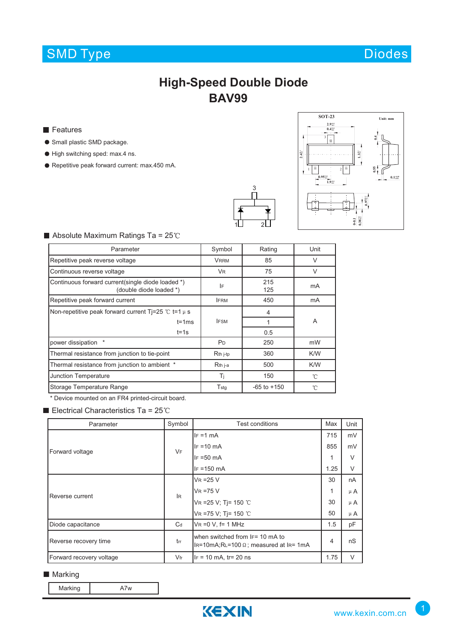# SMD Type Diodes

## **High-Speed Double Diode BAV99**

**Features** 

- **Small plastic SMD package.**
- $\bullet$  High switching sped: max.4 ns.
- Repetitive peak forward current: max.450 mA.





### $\blacksquare$  Absolute Maximum Ratings Ta = 25°C

| Parameter                                                                    | Symbol               | Rating          | Unit         |  |  |
|------------------------------------------------------------------------------|----------------------|-----------------|--------------|--|--|
| Repetitive peak reverse voltage                                              | <b>VRRM</b>          | 85              | $\vee$       |  |  |
| Continuous reverse voltage                                                   | <b>V<sub>R</sub></b> | 75              | $\vee$       |  |  |
| Continuous forward current(single diode loaded *)<br>(double diode loaded *) | IF                   | 215<br>125      | mA           |  |  |
| Repetitive peak forward current                                              | <b>IFRM</b>          | 450             | mA           |  |  |
| Non-repetitive peak forward current Ti=25 $\degree$ C t=1 $\mu$ s            |                      | 4               |              |  |  |
| $t = 1ms$                                                                    | <b>IFSM</b>          |                 | A            |  |  |
| $t = 1s$                                                                     |                      | 0.5             |              |  |  |
| power dissipation                                                            | P <sub>D</sub>       | 250             | mW           |  |  |
| Thermal resistance from junction to tie-point                                | R <sub>th</sub> j-tp | 360             | K/W          |  |  |
| Thermal resistance from junction to ambient *                                | R <sub>th</sub> j-a  | 500             | K/W          |  |  |
| <b>Junction Temperature</b>                                                  | Ti                   | 150             | $^{\circ}$ C |  |  |
| Storage Temperature Range                                                    | $T_{\text{stg}}$     | $-65$ to $+150$ | °C           |  |  |

\* Device mounted on an FR4 printed-circuit board.

Electrical Characteristics Ta =  $25^{\circ}$ C

| Parameter                | Symbol | Test conditions                                                                  | Max  | Unit    |
|--------------------------|--------|----------------------------------------------------------------------------------|------|---------|
| Forward voltage          | VF     | $IF = 1 mA$                                                                      | 715  | mV      |
|                          |        | $IF = 10 mA$                                                                     | 855  | mV      |
|                          |        | $IF = 50 mA$                                                                     | 1    | V       |
|                          |        | $IF = 150$ mA                                                                    | 1.25 | V       |
| Reverse current          | lR.    | $V_R = 25 V$                                                                     | 30   | nA      |
|                          |        | $VR = 75 V$                                                                      | 1    | $\mu$ A |
|                          |        | VR = 25 V; Tj = 150 °C                                                           | 30   | $\mu$ A |
|                          |        | VR =75 V; Tj= 150 °C                                                             | 50   | $\mu$ A |
| Diode capacitance        | $C_d$  | $VR = 0 V$ , f= 1 MHz                                                            | 1.5  | pF      |
| Reverse recovery time    | trr    | when switched from IF= 10 mA to<br>IR=10mA;RL=100 $\Omega$ ; measured at IR= 1mA |      | nS      |
| Forward recovery voltage | $V$ fr | $IF = 10$ mA, $tr = 20$ ns                                                       | 1.75 | V       |

### ■ Marking

Marking **A7w** 

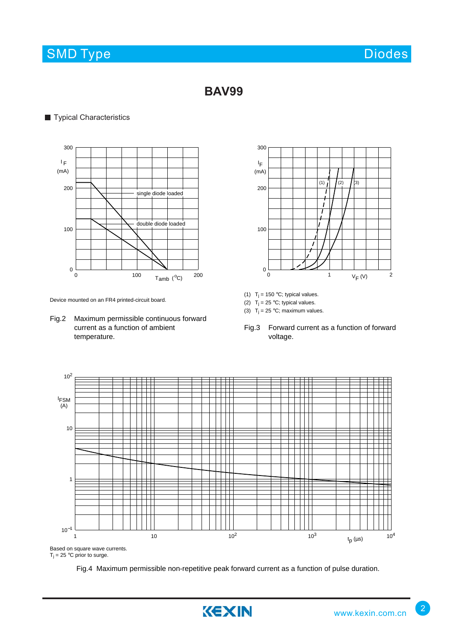# SMD Type Diodes and Diodes Diodes Diodes and Diodes Diodes and Diodes and Diodes Diodes and Diodes Diodes and Diodes

## **BAV99**

## **Typical Characteristics**



Device mounted on an FR4 printed-circuit board.

Fig.2 Maximum permissible continuous forward current as a function of ambient temperature.



- (1)  $T_j = 150$  °C; typical values.
- (2)  $T_j = 25 °C$ ; typical values.
- (3)  $T_j = 25 \degree C$ ; maximum values.
- Fig.3 Forward current as a function of forward voltage.



Fig.4 Maximum permissible non-repetitive peak forward current as a function of pulse duration.